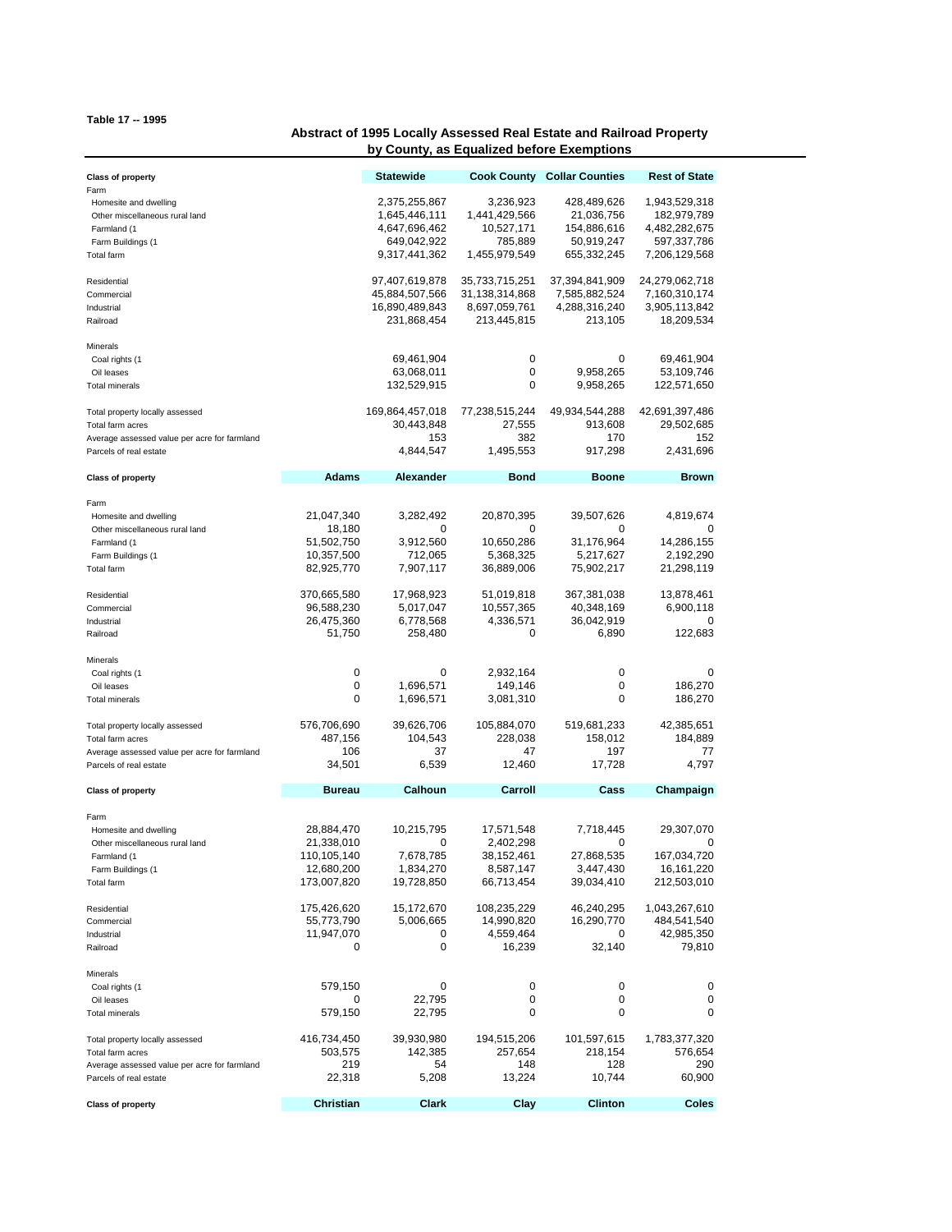## **Table 17 -- 1995**

## **Abstract of 1995 Locally Assessed Real Estate and Railroad Property by County, as Equalized before Exemptions**

| <b>Class of property</b>                                                                                                      |                                                                      | <b>Statewide</b>                                                                |                                                                      | <b>Cook County Collar Counties</b>                                    | <b>Rest of State</b>                                                          |
|-------------------------------------------------------------------------------------------------------------------------------|----------------------------------------------------------------------|---------------------------------------------------------------------------------|----------------------------------------------------------------------|-----------------------------------------------------------------------|-------------------------------------------------------------------------------|
| Farm<br>Homesite and dwelling<br>Other miscellaneous rural land<br>Farmland (1<br>Farm Buildings (1<br>Total farm             |                                                                      | 2,375,255,867<br>1,645,446,111<br>4,647,696,462<br>649,042,922<br>9,317,441,362 | 3,236,923<br>1,441,429,566<br>10,527,171<br>785,889<br>1,455,979,549 | 428,489,626<br>21,036,756<br>154,886,616<br>50,919,247<br>655,332,245 | 1,943,529,318<br>182,979,789<br>4,482,282,675<br>597,337,786<br>7,206,129,568 |
| Residential<br>Commercial<br>Industrial<br>Railroad                                                                           |                                                                      | 97,407,619,878<br>45,884,507,566<br>16,890,489,843<br>231,868,454               | 35,733,715,251<br>31,138,314,868<br>8,697,059,761<br>213,445,815     | 37,394,841,909<br>7,585,882,524<br>4,288,316,240<br>213,105           | 24,279,062,718<br>7,160,310,174<br>3,905,113,842<br>18,209,534                |
| Minerals<br>Coal rights (1<br>Oil leases<br><b>Total minerals</b>                                                             |                                                                      | 69,461,904<br>63,068,011<br>132,529,915                                         | 0<br>0<br>0                                                          | 0<br>9,958,265<br>9,958,265                                           | 69,461,904<br>53,109,746<br>122,571,650                                       |
| Total property locally assessed<br>Total farm acres<br>Average assessed value per acre for farmland<br>Parcels of real estate |                                                                      | 169,864,457,018<br>30,443,848<br>153<br>4,844,547                               | 77,238,515,244<br>27,555<br>382<br>1,495,553                         | 49,934,544,288<br>913,608<br>170<br>917,298                           | 42,691,397,486<br>29,502,685<br>152<br>2,431,696                              |
| <b>Class of property</b>                                                                                                      | <b>Adams</b>                                                         | Alexander                                                                       | <b>Bond</b>                                                          | <b>Boone</b>                                                          | <b>Brown</b>                                                                  |
| Farm<br>Homesite and dwelling<br>Other miscellaneous rural land<br>Farmland (1<br>Farm Buildings (1<br>Total farm             | 21,047,340<br>18,180<br>51,502,750<br>10,357,500<br>82,925,770       | 3,282,492<br>0<br>3,912,560<br>712,065<br>7,907,117                             | 20,870,395<br>0<br>10,650,286<br>5,368,325<br>36,889,006             | 39,507,626<br>0<br>31,176,964<br>5,217,627<br>75,902,217              | 4,819,674<br>14,286,155<br>2,192,290<br>21,298,119                            |
| Residential<br>Commercial<br>Industrial<br>Railroad                                                                           | 370,665,580<br>96,588,230<br>26,475,360<br>51,750                    | 17,968,923<br>5,017,047<br>6,778,568<br>258,480                                 | 51,019,818<br>10,557,365<br>4,336,571<br>0                           | 367,381,038<br>40,348,169<br>36,042,919<br>6,890                      | 13,878,461<br>6,900,118<br>0<br>122,683                                       |
| Minerals<br>Coal rights (1<br>Oil leases<br><b>Total minerals</b>                                                             | 0<br>0<br>0                                                          | 0<br>1,696,571<br>1,696,571                                                     | 2,932,164<br>149,146<br>3,081,310                                    | 0<br>0<br>0                                                           | 0<br>186,270<br>186,270                                                       |
| Total property locally assessed<br>Total farm acres<br>Average assessed value per acre for farmland<br>Parcels of real estate | 576,706,690<br>487,156<br>106<br>34,501                              | 39,626,706<br>104,543<br>37<br>6,539                                            | 105,884,070<br>228,038<br>47<br>12,460                               | 519,681,233<br>158,012<br>197<br>17,728                               | 42,385,651<br>184,889<br>77<br>4,797                                          |
| <b>Class of property</b>                                                                                                      | <b>Bureau</b>                                                        | Calhoun                                                                         | Carroll                                                              | Cass                                                                  | Champaign                                                                     |
| Farm<br>Homesite and dwelling<br>Other miscellaneous rural land<br>Farmland (1<br>Farm Buildings (1<br><b>Total farm</b>      | 28,884,470<br>21,338,010<br>110,105,140<br>12,680,200<br>173,007,820 | 10,215,795<br>0<br>7,678,785<br>1,834,270<br>19,728,850                         | 17,571,548<br>2,402,298<br>38,152,461<br>8,587,147<br>66,713,454     | 7,718,445<br>0<br>27,868,535<br>3,447,430<br>39,034,410               | 29,307,070<br>0<br>167,034,720<br>16, 161, 220<br>212,503,010                 |
| Residential<br>Commercial<br>Industrial<br>Railroad                                                                           | 175,426,620<br>55,773,790<br>11,947,070<br>0                         | 15,172,670<br>5,006,665<br>0<br>0                                               | 108,235,229<br>14,990,820<br>4,559,464<br>16,239                     | 46,240,295<br>16,290,770<br>0<br>32,140                               | 1,043,267,610<br>484,541,540<br>42,985,350<br>79,810                          |
| Minerals<br>Coal rights (1<br>Oil leases<br><b>Total minerals</b>                                                             | 579,150<br>0<br>579,150                                              | 0<br>22,795<br>22,795                                                           | 0<br>0<br>0                                                          | 0<br>0<br>0                                                           | 0<br>0<br>0                                                                   |
| Total property locally assessed<br>Total farm acres<br>Average assessed value per acre for farmland<br>Parcels of real estate | 416,734,450<br>503,575<br>219<br>22,318                              | 39,930,980<br>142,385<br>54<br>5,208                                            | 194,515,206<br>257,654<br>148<br>13,224                              | 101,597,615<br>218,154<br>128<br>10,744                               | 1,783,377,320<br>576,654<br>290<br>60,900                                     |
| <b>Class of property</b>                                                                                                      | Christian                                                            | Clark                                                                           | Clay                                                                 | Clinton                                                               | <b>Coles</b>                                                                  |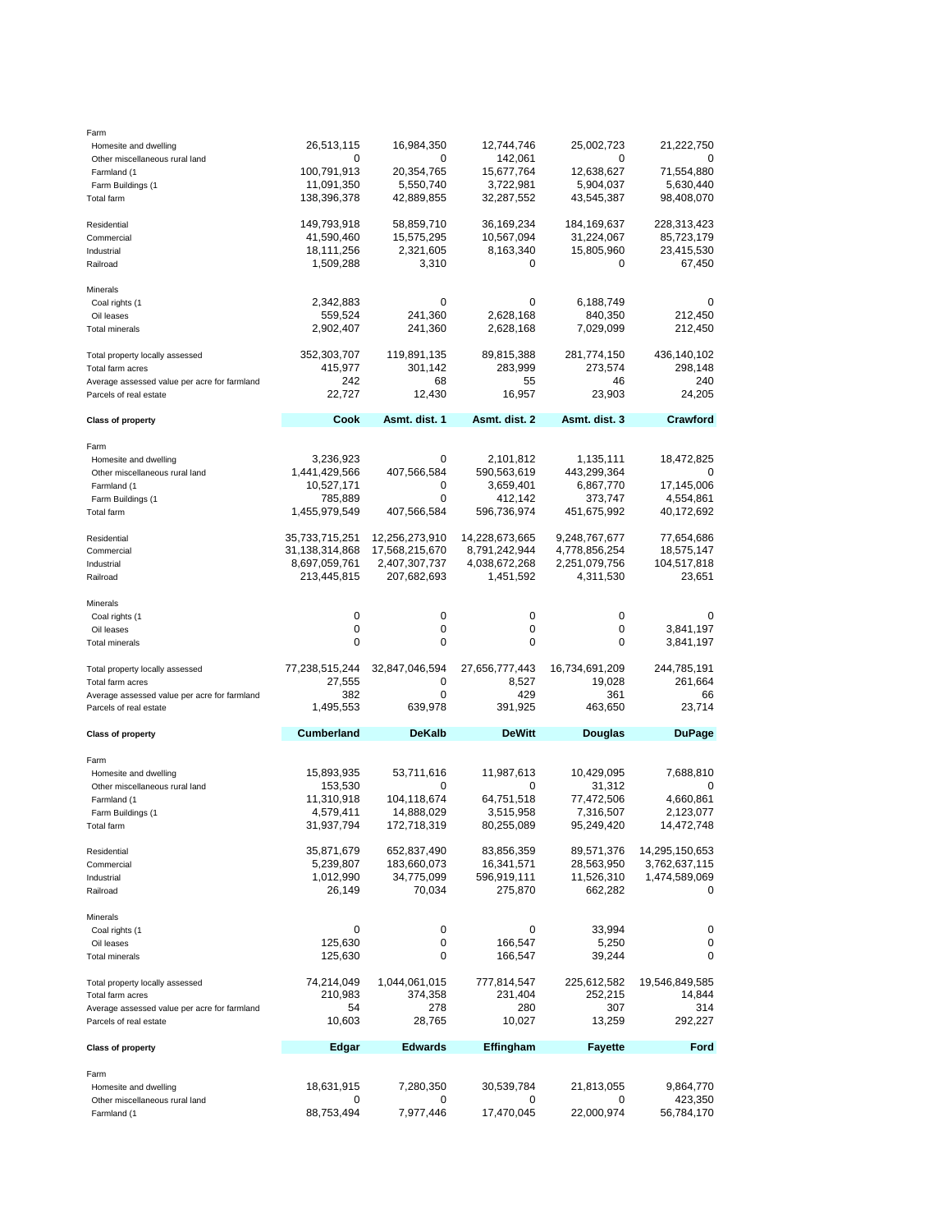| Homesite and dwelling                        | 26,513,115        | 16,984,350     | 12,744,746       | 25,002,723     | 21,222,750     |
|----------------------------------------------|-------------------|----------------|------------------|----------------|----------------|
|                                              |                   |                | 142,061          |                | 0              |
| Other miscellaneous rural land               | 0                 | 0              |                  | 0              |                |
| Farmland (1                                  | 100,791,913       | 20,354,765     | 15,677,764       | 12,638,627     | 71,554,880     |
| Farm Buildings (1                            | 11,091,350        | 5,550,740      | 3,722,981        | 5,904,037      | 5,630,440      |
| Total farm                                   | 138,396,378       | 42,889,855     | 32,287,552       | 43,545,387     | 98,408,070     |
|                                              |                   |                |                  |                |                |
|                                              |                   |                |                  |                |                |
| Residential                                  | 149,793,918       | 58,859,710     | 36,169,234       | 184,169,637    | 228,313,423    |
| Commercial                                   | 41,590,460        | 15,575,295     | 10,567,094       | 31,224,067     | 85,723,179     |
| Industrial                                   | 18,111,256        | 2,321,605      | 8,163,340        | 15,805,960     | 23,415,530     |
|                                              |                   |                |                  |                |                |
| Railroad                                     | 1,509,288         | 3,310          | 0                | 0              | 67,450         |
|                                              |                   |                |                  |                |                |
| Minerals                                     |                   |                |                  |                |                |
| Coal rights (1                               | 2,342,883         | 0              | 0                | 6,188,749      | 0              |
| Oil leases                                   | 559,524           | 241,360        | 2,628,168        | 840,350        | 212,450        |
|                                              |                   |                |                  |                |                |
| <b>Total minerals</b>                        | 2,902,407         | 241,360        | 2,628,168        | 7,029,099      | 212,450        |
|                                              |                   |                |                  |                |                |
| Total property locally assessed              | 352,303,707       | 119,891,135    | 89,815,388       | 281,774,150    | 436,140,102    |
| Total farm acres                             | 415,977           | 301,142        | 283,999          | 273,574        | 298,148        |
|                                              |                   |                |                  |                |                |
| Average assessed value per acre for farmland | 242               | 68             | 55               | 46             | 240            |
| Parcels of real estate                       | 22,727            | 12,430         | 16,957           | 23,903         | 24,205         |
|                                              |                   |                |                  |                |                |
| <b>Class of property</b>                     | Cook              | Asmt. dist. 1  | Asmt. dist. 2    | Asmt. dist. 3  | Crawford       |
|                                              |                   |                |                  |                |                |
| Farm                                         |                   |                |                  |                |                |
|                                              |                   |                |                  |                |                |
| Homesite and dwelling                        | 3,236,923         | 0              | 2,101,812        | 1,135,111      | 18,472,825     |
| Other miscellaneous rural land               | 1,441,429,566     | 407,566,584    | 590,563,619      | 443,299,364    | 0              |
| Farmland (1                                  | 10,527,171        | 0              | 3,659,401        | 6,867,770      | 17,145,006     |
|                                              |                   |                |                  |                |                |
| Farm Buildings (1                            | 785,889           | 0              | 412,142          | 373,747        | 4,554,861      |
| Total farm                                   | 1,455,979,549     | 407,566,584    | 596,736,974      | 451,675,992    | 40,172,692     |
|                                              |                   |                |                  |                |                |
| Residential                                  | 35,733,715,251    | 12,256,273,910 | 14,228,673,665   | 9,248,767,677  | 77,654,686     |
| Commercial                                   | 31,138,314,868    | 17,568,215,670 | 8,791,242,944    | 4,778,856,254  | 18,575,147     |
|                                              |                   |                |                  |                |                |
| Industrial                                   | 8,697,059,761     | 2,407,307,737  | 4,038,672,268    | 2,251,079,756  | 104,517,818    |
| Railroad                                     | 213,445,815       | 207,682,693    | 1,451,592        | 4,311,530      | 23,651         |
|                                              |                   |                |                  |                |                |
| Minerals                                     |                   |                |                  |                |                |
| Coal rights (1                               | 0                 | 0              | 0                | 0              | 0              |
|                                              |                   |                |                  |                |                |
| Oil leases                                   | 0                 | 0              | 0                | 0              | 3,841,197      |
| Total minerals                               | 0                 | 0              | 0                | 0              | 3,841,197      |
|                                              |                   |                |                  |                |                |
| Total property locally assessed              | 77,238,515,244    | 32,847,046,594 | 27,656,777,443   | 16,734,691,209 | 244,785,191    |
|                                              |                   |                |                  |                |                |
|                                              | 27,555            | 0              | 8,527            | 19,028         | 261,664        |
| Total farm acres                             |                   | 0              | 429              | 361            | 66             |
| Average assessed value per acre for farmland | 382               |                |                  | 463,650        | 23,714         |
|                                              |                   |                |                  |                |                |
| Parcels of real estate                       | 1,495,553         | 639,978        | 391,925          |                |                |
|                                              |                   |                |                  |                |                |
| <b>Class of property</b>                     | <b>Cumberland</b> | <b>DeKalb</b>  | <b>DeWitt</b>    | Douglas        | <b>DuPage</b>  |
|                                              |                   |                |                  |                |                |
| Farm                                         |                   |                |                  |                |                |
| Homesite and dwelling                        | 15,893,935        | 53,711,616     | 11,987,613       | 10,429,095     | 7,688,810      |
|                                              |                   |                |                  |                |                |
| Other miscellaneous rural land               | 153,530           | 0              | 0                | 31,312         | 0              |
| Farmland (1                                  | 11,310,918        | 104,118,674    | 64,751,518       | 77,472,506     | 4,660,861      |
| Farm Buildings (1                            | 4,579,411         | 14,888,029     | 3,515,958        | 7,316,507      | 2,123,077      |
|                                              |                   |                |                  |                |                |
| Total farm                                   | 31,937,794        | 172,718,319    | 80,255,089       | 95,249,420     | 14,472,748     |
|                                              |                   |                |                  |                |                |
| Residential                                  | 35,871,679        | 652,837,490    | 83,856,359       | 89,571,376     | 14,295,150,653 |
| Commercial                                   | 5,239,807         | 183,660,073    | 16,341,571       | 28,563,950     | 3,762,637,115  |
|                                              |                   |                |                  |                |                |
| Industrial                                   | 1,012,990         | 34,775,099     | 596,919,111      | 11,526,310     | 1,474,589,069  |
| Railroad                                     | 26,149            | 70,034         | 275,870          | 662,282        | 0              |
|                                              |                   |                |                  |                |                |
| Minerals                                     |                   |                |                  |                |                |
| Coal rights (1                               | 0                 | 0              | 0                | 33,994         | 0              |
|                                              |                   |                |                  |                |                |
| Oil leases                                   | 125,630           | 0              | 166,547          | 5,250          | 0              |
| <b>Total minerals</b>                        | 125,630           | 0              | 166,547          | 39,244         | 0              |
|                                              |                   |                |                  |                |                |
|                                              | 74,214,049        | 1,044,061,015  | 777,814,547      | 225,612,582    | 19,546,849,585 |
| Total property locally assessed              |                   |                |                  |                |                |
| Total farm acres                             | 210,983           | 374,358        | 231,404          | 252,215        | 14,844         |
| Average assessed value per acre for farmland | 54                | 278            | 280              | 307            | 314            |
| Parcels of real estate                       | 10,603            | 28,765         | 10,027           | 13,259         | 292,227        |
|                                              |                   |                |                  |                |                |
|                                              |                   |                |                  |                |                |
| <b>Class of property</b>                     | Edgar             | <b>Edwards</b> | <b>Effingham</b> | <b>Fayette</b> | Ford           |
|                                              |                   |                |                  |                |                |
| Farm                                         |                   |                |                  |                |                |
| Homesite and dwelling                        | 18,631,915        | 7,280,350      | 30,539,784       | 21,813,055     | 9,864,770      |
| Other miscellaneous rural land               | 0                 | 0              | 0                | 0              | 423,350        |
| Farmland (1                                  | 88,753,494        | 7,977,446      | 17,470,045       | 22,000,974     | 56,784,170     |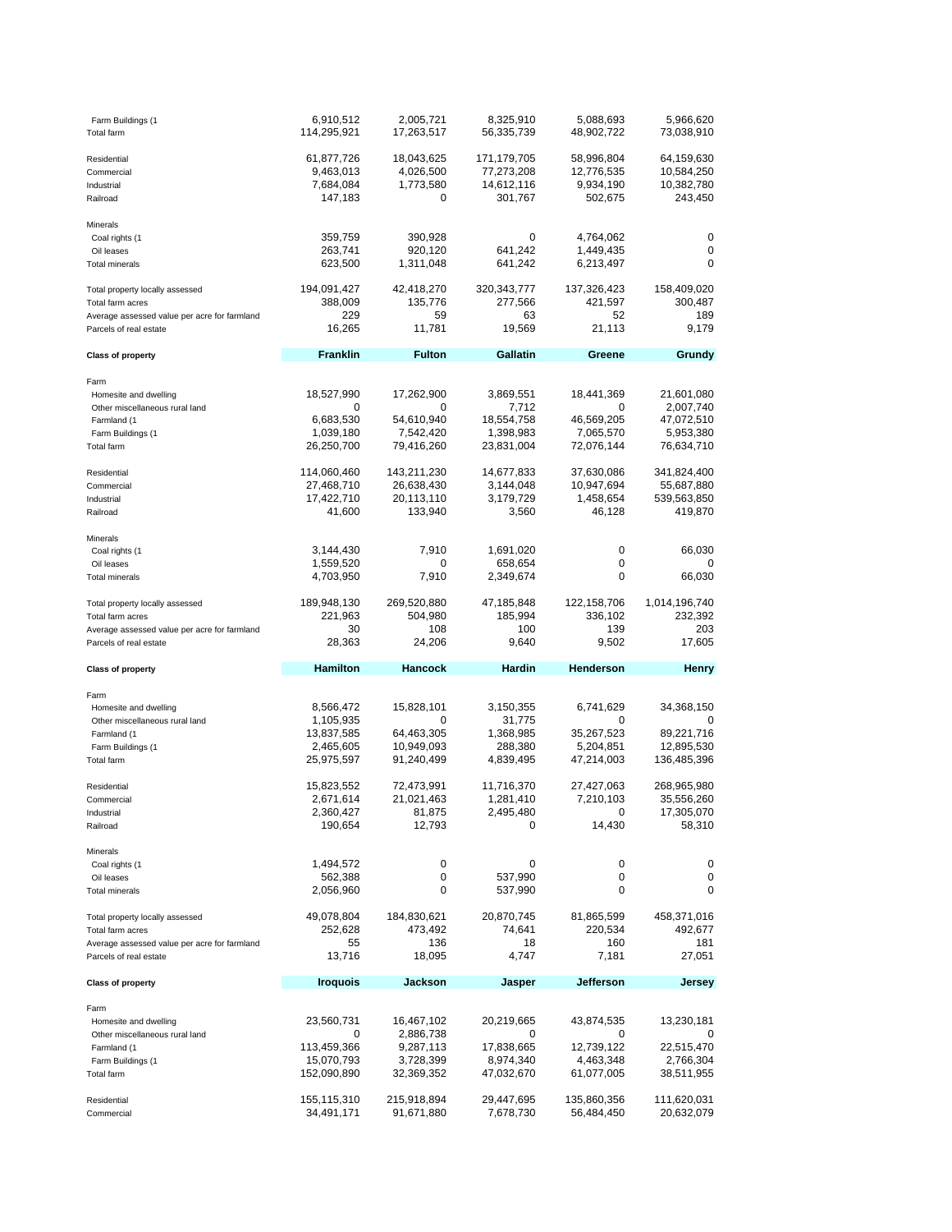| Farm Buildings (1<br><b>Total farm</b>              | 6,910,512<br>114,295,921             | 2,005,721<br>17,263,517                   | 8,325,910<br>56,335,739                 | 5,088,693<br>48,902,722               | 5,966,620<br>73,038,910                           |
|-----------------------------------------------------|--------------------------------------|-------------------------------------------|-----------------------------------------|---------------------------------------|---------------------------------------------------|
| Residential<br>Commercial<br>Industrial<br>Railroad | 61,877,726<br>9,463,013<br>7,684,084 | 18,043,625<br>4,026,500<br>1,773,580<br>0 | 171,179,705<br>77,273,208<br>14,612,116 | 58,996,804<br>12,776,535<br>9,934,190 | 64,159,630<br>10,584,250<br>10,382,780<br>243,450 |
|                                                     | 147,183                              |                                           | 301,767                                 | 502,675                               |                                                   |
| Minerals                                            |                                      |                                           |                                         |                                       |                                                   |
| Coal rights (1<br>Oil leases                        | 359,759<br>263,741                   | 390,928<br>920,120                        | 0<br>641,242                            | 4,764,062<br>1,449,435                | 0<br>0                                            |
| <b>Total minerals</b>                               | 623,500                              | 1,311,048                                 | 641,242                                 | 6,213,497                             | 0                                                 |
|                                                     |                                      |                                           | 320, 343, 777                           |                                       | 158,409,020                                       |
| Total property locally assessed<br>Total farm acres | 194,091,427<br>388,009               | 42,418,270<br>135,776                     | 277,566                                 | 137,326,423<br>421,597                | 300,487                                           |
| Average assessed value per acre for farmland        | 229                                  | 59                                        | 63                                      | 52                                    | 189                                               |
| Parcels of real estate                              | 16,265                               | 11,781                                    | 19,569                                  | 21,113                                | 9,179                                             |
| <b>Class of property</b>                            | <b>Franklin</b>                      | <b>Fulton</b>                             | Gallatin                                | Greene                                | Grundy                                            |
| Farm                                                |                                      |                                           |                                         |                                       |                                                   |
| Homesite and dwelling                               | 18,527,990                           | 17,262,900                                | 3,869,551                               | 18,441,369                            | 21,601,080                                        |
| Other miscellaneous rural land                      | 0                                    | 0                                         | 7,712                                   | 0                                     | 2,007,740                                         |
| Farmland (1                                         | 6,683,530                            | 54,610,940                                | 18,554,758                              | 46,569,205                            | 47,072,510                                        |
| Farm Buildings (1<br><b>Total farm</b>              | 1,039,180<br>26,250,700              | 7,542,420<br>79,416,260                   | 1,398,983<br>23,831,004                 | 7,065,570<br>72,076,144               | 5,953,380<br>76,634,710                           |
|                                                     |                                      |                                           |                                         |                                       |                                                   |
| Residential                                         | 114,060,460                          | 143,211,230                               | 14,677,833                              | 37,630,086                            | 341,824,400                                       |
| Commercial                                          | 27,468,710                           | 26,638,430                                | 3,144,048                               | 10,947,694                            | 55,687,880                                        |
| Industrial                                          | 17,422,710                           | 20,113,110                                | 3,179,729                               | 1,458,654                             | 539,563,850                                       |
| Railroad                                            | 41,600                               | 133,940                                   | 3,560                                   | 46,128                                | 419,870                                           |
| Minerals                                            |                                      |                                           |                                         |                                       |                                                   |
| Coal rights (1                                      | 3,144,430                            | 7,910                                     | 1,691,020                               | 0                                     | 66,030                                            |
| Oil leases                                          | 1,559,520                            | 0                                         | 658,654                                 | 0                                     | 0                                                 |
| <b>Total minerals</b>                               | 4,703,950                            | 7,910                                     | 2,349,674                               | 0                                     | 66,030                                            |
| Total property locally assessed                     | 189,948,130                          | 269,520,880                               | 47,185,848                              | 122, 158, 706                         | 1,014,196,740                                     |
| Total farm acres                                    | 221,963                              | 504,980                                   | 185,994                                 | 336,102                               | 232,392                                           |
|                                                     |                                      |                                           |                                         |                                       |                                                   |
| Average assessed value per acre for farmland        | 30                                   | 108                                       | 100                                     | 139                                   | 203                                               |
| Parcels of real estate                              | 28,363                               | 24,206                                    | 9,640                                   | 9,502                                 | 17,605                                            |
| <b>Class of property</b>                            | Hamilton                             | <b>Hancock</b>                            | <b>Hardin</b>                           | Henderson                             | Henry                                             |
|                                                     |                                      |                                           |                                         |                                       |                                                   |
| Farm<br>Homesite and dwelling                       | 8,566,472                            | 15,828,101                                |                                         | 6,741,629                             | 34,368,150                                        |
| Other miscellaneous rural land                      | 1,105,935                            | 0                                         | 3,150,355<br>31,775                     | 0                                     | 0                                                 |
| Farmland (1                                         | 13,837,585                           | 64,463,305                                | 1,368,985                               | 35,267,523                            | 89,221,716                                        |
| Farm Buildings (1                                   | 2,465,605                            | 10,949,093                                | 288,380                                 | 5,204,851                             | 12,895,530                                        |
| Total farm                                          | 25,975,597                           | 91,240,499                                | 4,839,495                               | 47,214,003                            | 136,485,396                                       |
| Residential                                         | 15,823,552                           | 72,473,991                                | 11,716,370                              | 27,427,063                            | 268,965,980                                       |
| Commercial                                          | 2,671,614                            | 21,021,463                                | 1,281,410                               | 7,210,103                             | 35,556,260                                        |
| Industrial                                          | 2,360,427                            | 81,875                                    | 2,495,480                               | 0                                     | 17,305,070                                        |
| Railroad                                            | 190,654                              | 12,793                                    | 0                                       | 14,430                                | 58,310                                            |
| Minerals                                            |                                      |                                           |                                         |                                       |                                                   |
| Coal rights (1                                      | 1,494,572                            | 0                                         | 0                                       | 0                                     | 0                                                 |
| Oil leases                                          | 562,388                              | 0                                         | 537,990                                 | 0                                     | 0                                                 |
| <b>Total minerals</b>                               | 2,056,960                            | 0                                         | 537,990                                 | 0                                     | 0                                                 |
| Total property locally assessed                     | 49,078,804                           | 184,830,621                               | 20,870,745                              | 81,865,599                            | 458,371,016                                       |
| Total farm acres                                    | 252,628                              | 473,492                                   | 74,641                                  | 220,534                               | 492,677                                           |
| Average assessed value per acre for farmland        | 55                                   | 136                                       | 18                                      | 160                                   | 181                                               |
| Parcels of real estate                              | 13,716                               | 18,095                                    | 4,747                                   | 7,181                                 | 27,051                                            |
| <b>Class of property</b>                            | <b>Iroquois</b>                      | <b>Jackson</b>                            | Jasper                                  | Jefferson                             | Jersey                                            |
| Farm                                                |                                      |                                           |                                         |                                       |                                                   |
| Homesite and dwelling                               | 23,560,731                           | 16,467,102                                | 20,219,665                              | 43,874,535                            | 13,230,181                                        |
| Other miscellaneous rural land                      | 0                                    | 2,886,738                                 | 0                                       | 0                                     | 0                                                 |
| Farmland (1                                         | 113,459,366                          | 9,287,113                                 | 17,838,665                              | 12,739,122                            | 22,515,470                                        |
| Farm Buildings (1<br>Total farm                     | 15,070,793<br>152,090,890            | 3,728,399<br>32,369,352                   | 8,974,340<br>47,032,670                 | 4,463,348<br>61,077,005               | 2,766,304<br>38,511,955                           |
|                                                     |                                      |                                           |                                         |                                       |                                                   |
| Residential<br>Commercial                           | 155,115,310<br>34,491,171            | 215,918,894<br>91,671,880                 | 29,447,695<br>7,678,730                 | 135,860,356<br>56,484,450             | 111,620,031<br>20,632,079                         |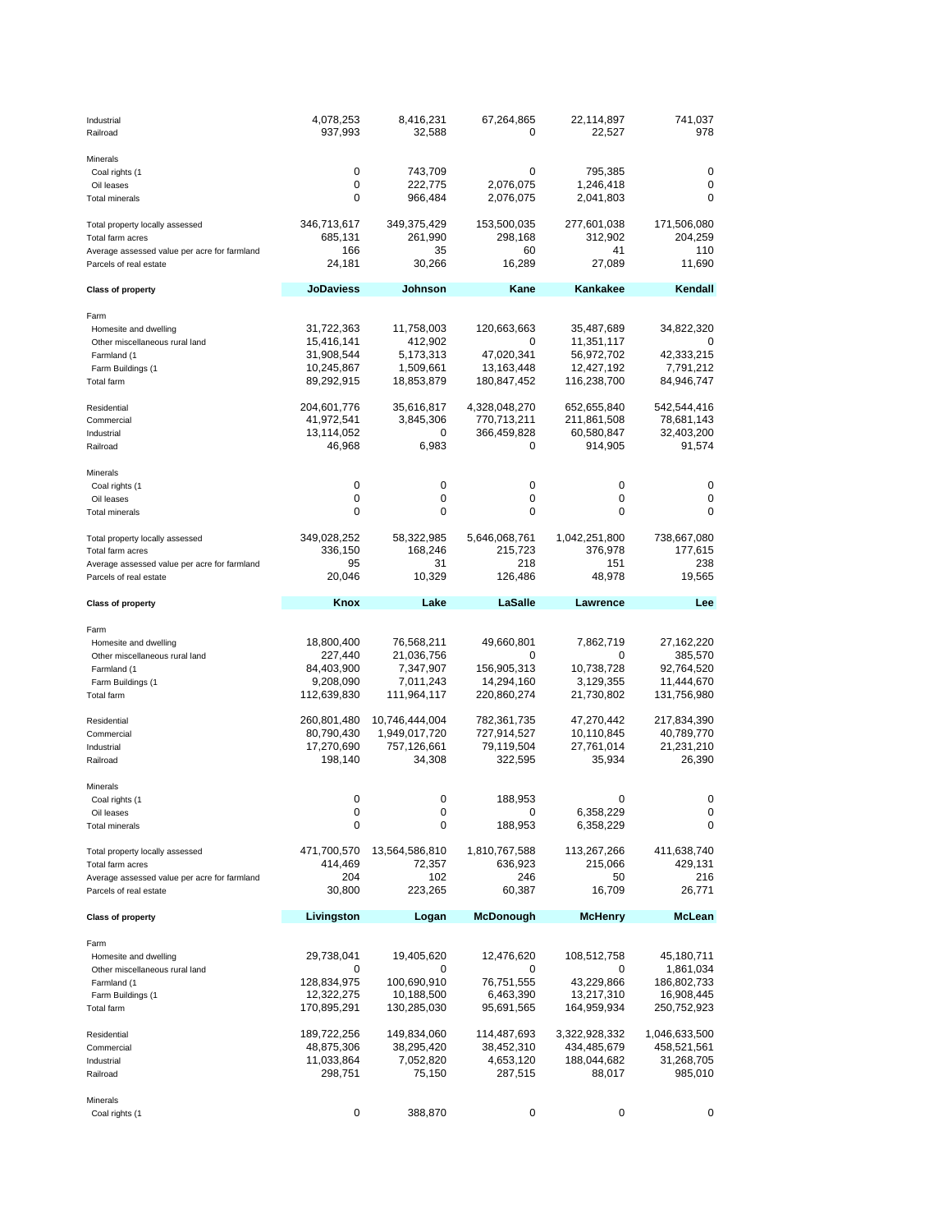| Industrial<br>Railroad                                                                                                                                                   | 4,078,253<br>937,993                                                                                                    | 8,416,231<br>32,588                                                                                    | 67,264,865<br>0                                                                                                 | 22,114,897<br>22,527                                                                                                       | 741,037<br>978                                                                                                |
|--------------------------------------------------------------------------------------------------------------------------------------------------------------------------|-------------------------------------------------------------------------------------------------------------------------|--------------------------------------------------------------------------------------------------------|-----------------------------------------------------------------------------------------------------------------|----------------------------------------------------------------------------------------------------------------------------|---------------------------------------------------------------------------------------------------------------|
| Minerals<br>Coal rights (1<br>Oil leases<br><b>Total minerals</b>                                                                                                        | 0<br>0<br>0                                                                                                             | 743,709<br>222,775<br>966,484                                                                          | 0<br>2,076,075<br>2,076,075                                                                                     | 795,385<br>1,246,418<br>2,041,803                                                                                          | 0<br>0<br>0                                                                                                   |
| Total property locally assessed<br>Total farm acres<br>Average assessed value per acre for farmland<br>Parcels of real estate                                            | 346,713,617<br>685,131<br>166<br>24,181                                                                                 | 349,375,429<br>261,990<br>35<br>30,266                                                                 | 153,500,035<br>298,168<br>60<br>16,289                                                                          | 277,601,038<br>312,902<br>41<br>27,089                                                                                     | 171,506,080<br>204,259<br>110<br>11,690                                                                       |
| <b>Class of property</b>                                                                                                                                                 | <b>JoDaviess</b>                                                                                                        | Johnson                                                                                                | Kane                                                                                                            | Kankakee                                                                                                                   | Kendall                                                                                                       |
| Farm<br>Homesite and dwelling<br>Other miscellaneous rural land<br>Farmland (1<br>Farm Buildings (1<br>Total farm<br>Residential<br>Commercial<br>Industrial<br>Railroad | 31,722,363<br>15,416,141<br>31,908,544<br>10,245,867<br>89,292,915<br>204,601,776<br>41,972,541<br>13,114,052<br>46,968 | 11,758,003<br>412,902<br>5,173,313<br>1,509,661<br>18,853,879<br>35,616,817<br>3,845,306<br>0<br>6,983 | 120,663,663<br>0<br>47,020,341<br>13,163,448<br>180,847,452<br>4,328,048,270<br>770,713,211<br>366,459,828<br>0 | 35,487,689<br>11,351,117<br>56,972,702<br>12,427,192<br>116,238,700<br>652,655,840<br>211,861,508<br>60,580,847<br>914,905 | 34,822,320<br>0<br>42,333,215<br>7,791,212<br>84,946,747<br>542,544,416<br>78,681,143<br>32,403,200<br>91,574 |
| Minerals<br>Coal rights (1<br>Oil leases<br><b>Total minerals</b>                                                                                                        | 0<br>0<br>0                                                                                                             | 0<br>0<br>0                                                                                            | 0<br>0<br>0                                                                                                     | 0<br>0<br>0                                                                                                                | 0<br>0<br>0                                                                                                   |
| Total property locally assessed<br>Total farm acres<br>Average assessed value per acre for farmland<br>Parcels of real estate                                            | 349,028,252<br>336,150<br>95<br>20,046                                                                                  | 58,322,985<br>168,246<br>31<br>10,329                                                                  | 5,646,068,761<br>215,723<br>218<br>126,486                                                                      | 1,042,251,800<br>376,978<br>151<br>48,978                                                                                  | 738,667,080<br>177,615<br>238<br>19,565                                                                       |
| <b>Class of property</b>                                                                                                                                                 | Knox                                                                                                                    | Lake                                                                                                   | LaSalle                                                                                                         | Lawrence                                                                                                                   | Lee                                                                                                           |
|                                                                                                                                                                          |                                                                                                                         |                                                                                                        |                                                                                                                 |                                                                                                                            |                                                                                                               |
| Farm<br>Homesite and dwelling<br>Other miscellaneous rural land<br>Farmland (1<br>Farm Buildings (1<br>Total farm<br>Residential<br>Commercial                           | 18,800,400<br>227,440<br>84,403,900<br>9,208,090<br>112,639,830<br>260,801,480<br>80,790,430                            | 76,568,211<br>21,036,756<br>7,347,907<br>7,011,243<br>111,964,117<br>10,746,444,004<br>1,949,017,720   | 49,660,801<br>0<br>156,905,313<br>14,294,160<br>220,860,274<br>782,361,735<br>727,914,527                       | 7,862,719<br>0<br>10,738,728<br>3,129,355<br>21,730,802<br>47,270,442<br>10,110,845                                        | 27, 162, 220<br>385,570<br>92,764,520<br>11,444,670<br>131,756,980<br>217,834,390<br>40,789,770               |
| Industrial<br>Railroad                                                                                                                                                   | 17,270,690<br>198,140                                                                                                   | 757,126,661<br>34,308                                                                                  | 79,119,504<br>322,595                                                                                           | 27,761,014<br>35,934                                                                                                       | 21,231,210<br>26,390                                                                                          |
| Minerals<br>Coal rights (1<br>Oil leases<br><b>Total minerals</b><br>Total property locally assessed                                                                     | 0<br>0<br>0<br>471,700,570                                                                                              | 0<br>0<br>0<br>13,564,586,810                                                                          | 188,953<br>0<br>188,953<br>1,810,767,588                                                                        | 0<br>6,358,229<br>6,358,229<br>113,267,266                                                                                 | 0<br>0<br>0<br>411,638,740                                                                                    |
| Average assessed value per acre for farmland<br>Parcels of real estate                                                                                                   | 414,469<br>204                                                                                                          | 72,357<br>102                                                                                          | 636,923<br>246                                                                                                  | 215,066<br>50<br>16,709                                                                                                    | 429,131<br>216                                                                                                |
| <b>Class of property</b>                                                                                                                                                 | 30,800<br>Livingston                                                                                                    | 223,265<br>Logan                                                                                       | 60,387<br><b>McDonough</b>                                                                                      | McHenry                                                                                                                    | 26,771<br><b>McLean</b>                                                                                       |
| Total farm acres<br>Farm<br>Homesite and dwelling<br>Other miscellaneous rural land<br>Farmland (1<br>Farm Buildings (1<br>Total farm                                    | 29,738,041<br>0<br>128,834,975<br>12,322,275<br>170,895,291                                                             | 19,405,620<br>0<br>100,690,910<br>10,188,500<br>130,285,030                                            | 12,476,620<br>0<br>76,751,555<br>6,463,390<br>95,691,565                                                        | 108,512,758<br>0<br>43,229,866<br>13,217,310<br>164,959,934                                                                | 45,180,711<br>1,861,034<br>186,802,733<br>16,908,445<br>250,752,923                                           |
| Residential<br>Commercial<br>Industrial<br>Railroad                                                                                                                      | 189,722,256<br>48,875,306<br>11,033,864<br>298,751                                                                      | 149,834,060<br>38,295,420<br>7,052,820<br>75,150                                                       | 114,487,693<br>38,452,310<br>4,653,120<br>287,515                                                               | 3,322,928,332<br>434,485,679<br>188,044,682<br>88,017                                                                      | 1,046,633,500<br>458,521,561<br>31,268,705<br>985,010                                                         |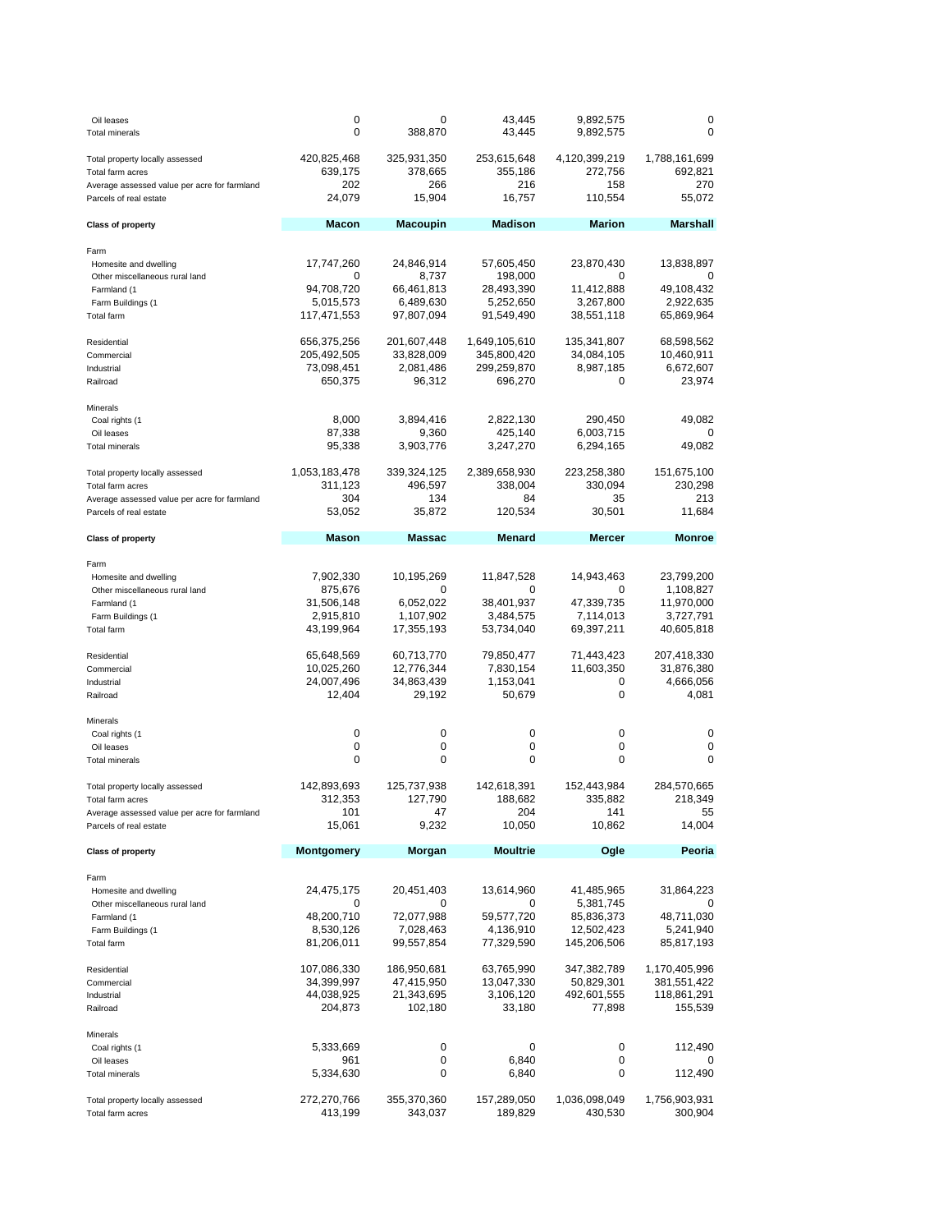| Oil leases<br><b>Total minerals</b>                                    | 0<br>0                   | 0<br>388,870             | 43,445<br>43,445         | 9,892,575<br>9,892,575   | 0<br>0                    |
|------------------------------------------------------------------------|--------------------------|--------------------------|--------------------------|--------------------------|---------------------------|
| Total property locally assessed<br>Total farm acres                    | 420,825,468<br>639,175   | 325,931,350<br>378,665   | 253,615,648<br>355,186   | 4,120,399,219<br>272,756 | 1,788,161,699<br>692,821  |
| Average assessed value per acre for farmland<br>Parcels of real estate | 202<br>24,079            | 266<br>15,904            | 216<br>16,757            | 158<br>110,554           | 270<br>55,072             |
| <b>Class of property</b>                                               | <b>Macon</b>             | <b>Macoupin</b>          | <b>Madison</b>           | <b>Marion</b>            | <b>Marshall</b>           |
| Farm                                                                   |                          |                          |                          |                          |                           |
| Homesite and dwelling                                                  | 17,747,260               | 24,846,914               | 57,605,450               | 23,870,430               | 13,838,897                |
| Other miscellaneous rural land<br>Farmland (1                          | 0<br>94,708,720          | 8,737<br>66,461,813      | 198,000<br>28,493,390    | 0<br>11,412,888          | 0<br>49,108,432           |
| Farm Buildings (1                                                      | 5,015,573                | 6,489,630                | 5,252,650                | 3,267,800                | 2,922,635                 |
| <b>Total farm</b>                                                      | 117,471,553              | 97,807,094               | 91,549,490               | 38,551,118               | 65,869,964                |
| Residential                                                            | 656,375,256              | 201,607,448              | 1,649,105,610            | 135,341,807              | 68,598,562                |
| Commercial                                                             | 205,492,505              | 33,828,009               | 345,800,420              | 34,084,105               | 10,460,911                |
| Industrial<br>Railroad                                                 | 73,098,451<br>650,375    | 2,081,486<br>96,312      | 299,259,870<br>696,270   | 8,987,185<br>0           | 6,672,607<br>23,974       |
|                                                                        |                          |                          |                          |                          |                           |
| Minerals                                                               |                          |                          |                          |                          |                           |
| Coal rights (1<br>Oil leases                                           | 8,000<br>87,338          | 3,894,416<br>9,360       | 2,822,130<br>425,140     | 290,450<br>6,003,715     | 49,082<br>0               |
| <b>Total minerals</b>                                                  | 95,338                   | 3,903,776                | 3,247,270                | 6,294,165                | 49,082                    |
|                                                                        |                          |                          |                          |                          |                           |
| Total property locally assessed<br>Total farm acres                    | 1,053,183,478<br>311,123 | 339,324,125<br>496,597   | 2,389,658,930<br>338,004 | 223,258,380<br>330,094   | 151,675,100<br>230,298    |
| Average assessed value per acre for farmland                           | 304                      | 134                      | 84                       | 35                       | 213                       |
| Parcels of real estate                                                 | 53,052                   | 35,872                   | 120,534                  | 30,501                   | 11,684                    |
| <b>Class of property</b>                                               | Mason                    | <b>Massac</b>            | <b>Menard</b>            | <b>Mercer</b>            | <b>Monroe</b>             |
|                                                                        |                          |                          |                          |                          |                           |
| Farm<br>Homesite and dwelling                                          | 7,902,330                | 10,195,269               | 11,847,528               | 14,943,463               | 23,799,200                |
| Other miscellaneous rural land                                         | 875,676                  | 0                        | 0                        | 0                        | 1,108,827                 |
| Farmland (1                                                            | 31,506,148               | 6,052,022                | 38,401,937               | 47,339,735               | 11,970,000                |
| Farm Buildings (1<br><b>Total farm</b>                                 | 2,915,810<br>43,199,964  | 1,107,902<br>17,355,193  | 3,484,575<br>53,734,040  | 7,114,013<br>69,397,211  | 3,727,791<br>40,605,818   |
|                                                                        |                          |                          |                          |                          |                           |
| Residential<br>Commercial                                              | 65,648,569<br>10,025,260 | 60,713,770<br>12,776,344 | 79,850,477<br>7,830,154  | 71,443,423<br>11,603,350 | 207,418,330<br>31,876,380 |
| Industrial                                                             | 24,007,496               | 34,863,439               | 1,153,041                | 0                        | 4,666,056                 |
| Railroad                                                               | 12,404                   | 29,192                   | 50,679                   | 0                        | 4,081                     |
| Minerals                                                               |                          |                          |                          |                          |                           |
| Coal rights (1                                                         | 0                        | 0                        | 0                        | 0                        | 0                         |
| Oil leases                                                             | 0<br>0                   | 0<br>0                   | 0<br>0                   | 0<br>0                   | 0<br>0                    |
| <b>Total minerals</b>                                                  |                          |                          |                          |                          |                           |
| Total property locally assessed                                        | 142,893,693              | 125,737,938              | 142,618,391              | 152,443,984              | 284,570,665               |
| Total farm acres                                                       | 312,353<br>101           | 127,790<br>47            | 188,682<br>204           | 335,882<br>141           | 218,349<br>55             |
| Average assessed value per acre for farmland<br>Parcels of real estate | 15,061                   | 9,232                    | 10,050                   | 10,862                   | 14,004                    |
|                                                                        | Montgomery               |                          | <b>Moultrie</b>          |                          | Peoria                    |
| <b>Class of property</b>                                               |                          | Morgan                   |                          | Ogle                     |                           |
| Farm                                                                   |                          |                          |                          |                          |                           |
| Homesite and dwelling<br>Other miscellaneous rural land                | 24,475,175<br>0          | 20,451,403<br>0          | 13,614,960<br>0          | 41,485,965<br>5,381,745  | 31,864,223<br>0           |
| Farmland (1                                                            | 48,200,710               | 72,077,988               | 59,577,720               | 85,836,373               | 48,711,030                |
| Farm Buildings (1                                                      | 8,530,126                | 7,028,463                | 4,136,910                | 12,502,423               | 5,241,940                 |
| <b>Total farm</b>                                                      | 81,206,011               | 99,557,854               | 77,329,590               | 145,206,506              | 85,817,193                |
| Residential                                                            | 107,086,330              | 186,950,681              | 63,765,990               | 347,382,789              | 1,170,405,996             |
| Commercial                                                             | 34,399,997               | 47,415,950               | 13,047,330               | 50,829,301               | 381,551,422               |
| Industrial                                                             | 44,038,925               | 21,343,695               | 3,106,120                | 492,601,555              | 118,861,291               |
| Railroad                                                               | 204,873                  | 102,180                  | 33,180                   | 77,898                   | 155,539                   |
| Minerals                                                               |                          |                          |                          |                          |                           |
| Coal rights (1<br>Oil leases                                           | 5,333,669<br>961         | 0<br>0                   | 0<br>6,840               | 0<br>0                   | 112,490<br>O              |
| <b>Total minerals</b>                                                  | 5,334,630                | 0                        | 6,840                    | 0                        | 112,490                   |
|                                                                        |                          |                          |                          |                          |                           |
| Total property locally assessed<br>Total farm acres                    | 272,270,766<br>413,199   | 355,370,360<br>343,037   | 157,289,050<br>189,829   | 1,036,098,049<br>430,530 | 1,756,903,931<br>300,904  |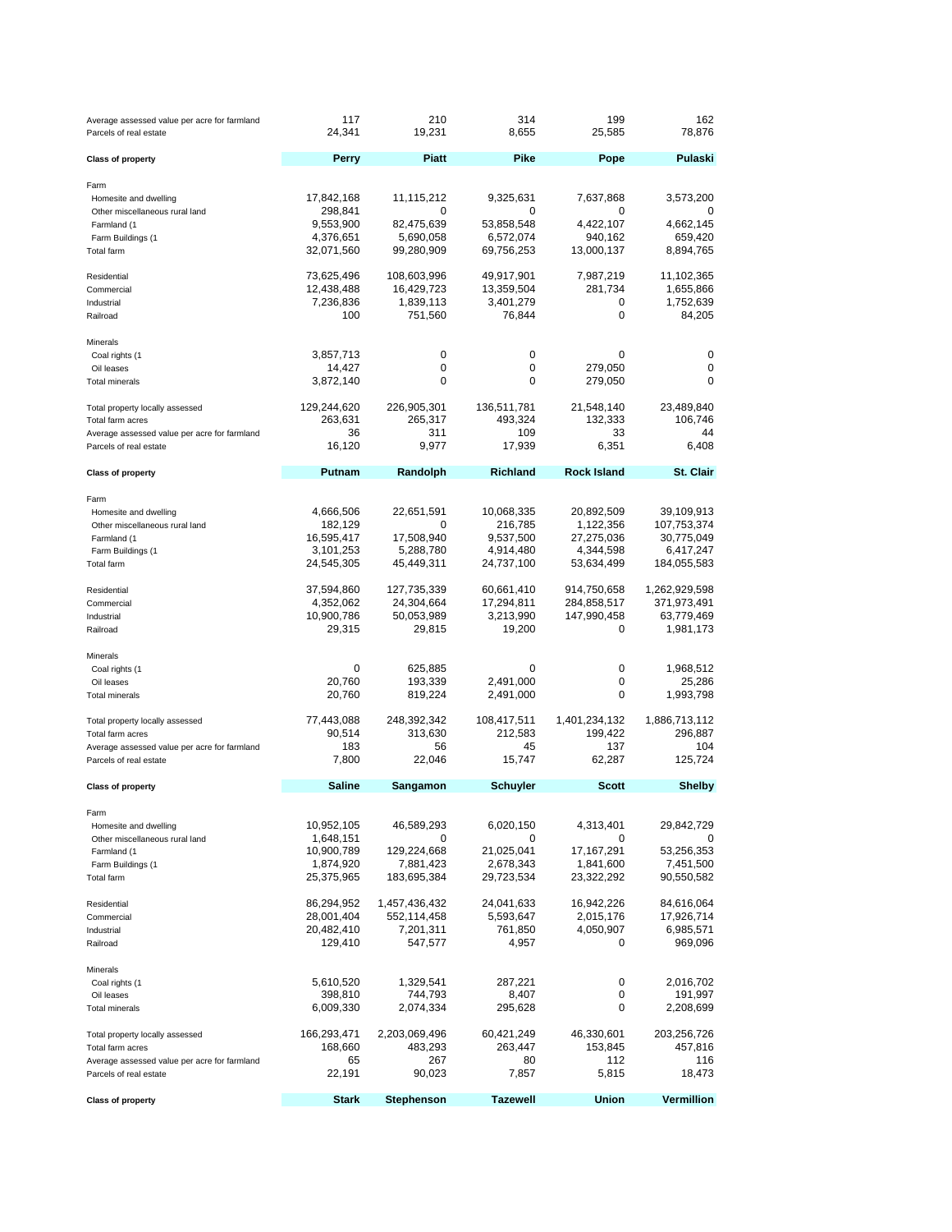| Average assessed value per acre for farmland<br>Parcels of real estate | 117<br>24,341           | 210<br>19,231            | 314<br>8,655            | 199<br>25,585           | 162<br>78,876            |
|------------------------------------------------------------------------|-------------------------|--------------------------|-------------------------|-------------------------|--------------------------|
| <b>Class of property</b>                                               | <b>Perry</b>            | <b>Piatt</b>             | Pike                    | Pope                    | Pulaski                  |
| Farm                                                                   |                         |                          |                         |                         |                          |
| Homesite and dwelling                                                  | 17,842,168              | 11,115,212               | 9,325,631               | 7,637,868               | 3,573,200                |
| Other miscellaneous rural land                                         | 298,841                 | 0                        | 0                       | 0                       | 0                        |
| Farmland (1                                                            | 9,553,900               | 82,475,639               | 53,858,548              | 4,422,107               | 4,662,145                |
| Farm Buildings (1                                                      | 4,376,651<br>32,071,560 | 5,690,058                | 6,572,074<br>69,756,253 | 940,162                 | 659,420                  |
| Total farm                                                             |                         | 99,280,909               |                         | 13,000,137              | 8,894,765                |
| Residential                                                            | 73,625,496              | 108,603,996              | 49,917,901              | 7,987,219               | 11,102,365               |
| Commercial                                                             | 12,438,488              | 16,429,723               | 13,359,504              | 281,734                 | 1,655,866                |
| Industrial                                                             | 7,236,836               | 1,839,113                | 3,401,279               | 0                       | 1,752,639                |
| Railroad                                                               | 100                     | 751,560                  | 76,844                  | 0                       | 84,205                   |
| Minerals                                                               |                         |                          |                         |                         |                          |
| Coal rights (1                                                         | 3,857,713               | 0                        | 0                       | 0                       | 0                        |
| Oil leases                                                             | 14,427                  | 0<br>0                   | 0<br>0                  | 279,050                 | 0<br>0                   |
| <b>Total minerals</b>                                                  | 3,872,140               |                          |                         | 279,050                 |                          |
| Total property locally assessed                                        | 129,244,620             | 226,905,301              | 136,511,781             | 21,548,140              | 23,489,840               |
| Total farm acres                                                       | 263,631                 | 265,317                  | 493,324                 | 132,333                 | 106,746                  |
| Average assessed value per acre for farmland                           | 36                      | 311                      | 109                     | 33                      | 44                       |
| Parcels of real estate                                                 | 16,120                  | 9,977                    | 17,939                  | 6,351                   | 6,408                    |
| <b>Class of property</b>                                               | Putnam                  | Randolph                 | <b>Richland</b>         | <b>Rock Island</b>      | St. Clair                |
| Farm                                                                   |                         |                          |                         |                         |                          |
| Homesite and dwelling                                                  | 4,666,506               | 22,651,591               | 10,068,335              | 20,892,509              | 39,109,913               |
| Other miscellaneous rural land                                         | 182,129                 | 0                        | 216,785                 | 1,122,356               | 107,753,374              |
| Farmland (1                                                            | 16,595,417              | 17,508,940               | 9,537,500               | 27,275,036              | 30,775,049               |
| Farm Buildings (1<br><b>Total farm</b>                                 | 3,101,253<br>24,545,305 | 5,288,780<br>45,449,311  | 4,914,480<br>24,737,100 | 4,344,598<br>53,634,499 | 6,417,247<br>184,055,583 |
|                                                                        |                         |                          |                         |                         |                          |
| Residential                                                            | 37,594,860              | 127,735,339              | 60,661,410              | 914,750,658             | 1,262,929,598            |
| Commercial                                                             | 4,352,062               | 24,304,664               | 17,294,811              | 284,858,517             | 371,973,491              |
| Industrial                                                             | 10,900,786              | 50,053,989               | 3,213,990               | 147,990,458             | 63,779,469               |
| Railroad                                                               | 29,315                  | 29,815                   | 19,200                  | 0                       | 1,981,173                |
| Minerals                                                               |                         |                          |                         |                         |                          |
| Coal rights (1                                                         | 0                       | 625,885                  | 0                       | 0                       | 1,968,512                |
| Oil leases<br><b>Total minerals</b>                                    | 20,760<br>20,760        | 193,339<br>819,224       | 2,491,000<br>2,491,000  | 0<br>0                  | 25,286<br>1,993,798      |
|                                                                        |                         |                          |                         |                         |                          |
| Total property locally assessed                                        | 77,443,088              | 248,392,342              | 108,417,511             | 1,401,234,132           | 1,886,713,112            |
| Total farm acres                                                       | 90,514                  | 313,630                  | 212,583                 | 199,422                 | 296,887                  |
| Average assessed value per acre for farmland                           | 183                     | 56                       | 45<br>15,747            | 137                     | 104                      |
| Parcels of real estate                                                 | 7,800                   | 22,046                   |                         | 62,287                  | 125,724                  |
| <b>Class of property</b>                                               | <b>Saline</b>           | Sangamon                 | <b>Schuyler</b>         | <b>Scott</b>            | <b>Shelby</b>            |
| Farm                                                                   |                         |                          |                         |                         |                          |
| Homesite and dwelling                                                  | 10,952,105              | 46,589,293               | 6,020,150               | 4,313,401               | 29,842,729               |
| Other miscellaneous rural land                                         | 1,648,151               | 0                        | 0                       | 0                       | 0                        |
| Farmland (1                                                            | 10,900,789              | 129,224,668              | 21,025,041              | 17, 167, 291            | 53,256,353               |
| Farm Buildings (1                                                      | 1,874,920               | 7,881,423<br>183,695,384 | 2,678,343               | 1,841,600               | 7,451,500                |
| Total farm                                                             | 25,375,965              |                          | 29,723,534              | 23,322,292              | 90,550,582               |
| Residential                                                            | 86,294,952              | 1,457,436,432            | 24,041,633              | 16,942,226              | 84,616,064               |
| Commercial                                                             | 28,001,404              | 552,114,458              | 5,593,647               | 2,015,176               | 17,926,714               |
| Industrial                                                             | 20,482,410              | 7,201,311                | 761,850                 | 4,050,907               | 6,985,571                |
| Railroad                                                               | 129,410                 | 547,577                  | 4,957                   | 0                       | 969,096                  |
| Minerals                                                               |                         |                          |                         |                         |                          |
| Coal rights (1                                                         | 5,610,520               | 1,329,541                | 287,221                 | 0                       | 2,016,702                |
| Oil leases                                                             | 398,810<br>6,009,330    | 744,793                  | 8,407                   | 0<br>0                  | 191,997                  |
| <b>Total minerals</b>                                                  |                         | 2,074,334                | 295,628                 |                         | 2,208,699                |
| Total property locally assessed                                        | 166,293,471             | 2,203,069,496            | 60,421,249              | 46,330,601              | 203,256,726              |
| Total farm acres                                                       | 168,660                 | 483,293                  | 263,447                 | 153,845                 | 457,816                  |
| Average assessed value per acre for farmland                           | 65                      | 267                      | 80                      | 112                     | 116                      |
| Parcels of real estate                                                 | 22,191                  | 90,023                   | 7,857                   | 5,815                   | 18,473                   |
| <b>Class of property</b>                                               | <b>Stark</b>            | <b>Stephenson</b>        | <b>Tazewell</b>         | <b>Union</b>            | Vermillion               |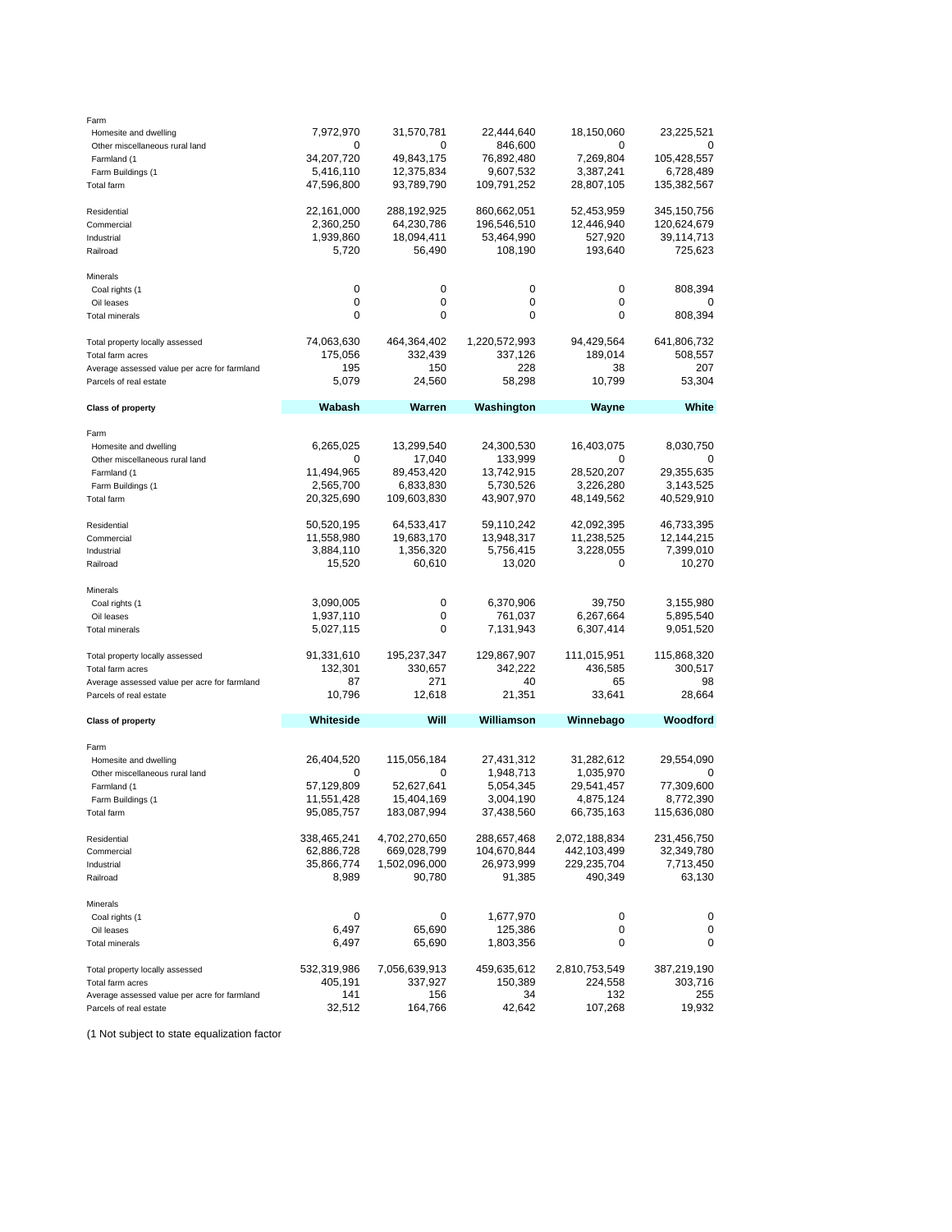| Farm                                         |             |               |               |               |               |
|----------------------------------------------|-------------|---------------|---------------|---------------|---------------|
| Homesite and dwelling                        | 7,972,970   | 31,570,781    | 22,444,640    | 18,150,060    | 23,225,521    |
| Other miscellaneous rural land               | 0           | 0             | 846,600       |               |               |
| Farmland (1                                  | 34,207,720  | 49,843,175    | 76,892,480    | 7,269,804     | 105,428,557   |
| Farm Buildings (1                            | 5,416,110   | 12,375,834    | 9,607,532     | 3,387,241     | 6,728,489     |
| Total farm                                   | 47,596,800  | 93,789,790    | 109,791,252   | 28,807,105    | 135,382,567   |
| Residential                                  | 22,161,000  | 288,192,925   | 860,662,051   | 52,453,959    | 345, 150, 756 |
| Commercial                                   | 2,360,250   | 64,230,786    | 196,546,510   | 12,446,940    | 120,624,679   |
| Industrial                                   | 1,939,860   | 18,094,411    | 53,464,990    | 527,920       | 39,114,713    |
| Railroad                                     | 5,720       | 56,490        | 108,190       | 193,640       | 725,623       |
| Minerals                                     |             |               |               |               |               |
| Coal rights (1                               | 0           | 0             | 0             | 0             | 808,394       |
| Oil leases                                   | 0           | 0             | 0             | 0             | 0             |
| <b>Total minerals</b>                        | 0           | 0             | 0             | 0             | 808,394       |
| Total property locally assessed              | 74,063,630  | 464,364,402   | 1,220,572,993 | 94,429,564    | 641,806,732   |
| Total farm acres                             | 175,056     | 332,439       | 337,126       | 189,014       | 508,557       |
| Average assessed value per acre for farmland | 195         | 150           | 228           | 38            | 207           |
| Parcels of real estate                       | 5,079       | 24,560        | 58,298        | 10,799        | 53,304        |
| <b>Class of property</b>                     | Wabash      | Warren        | Washington    | Wayne         | White         |
| Farm                                         |             |               |               |               |               |
| Homesite and dwelling                        | 6,265,025   | 13,299,540    | 24,300,530    | 16,403,075    | 8,030,750     |
| Other miscellaneous rural land               | 0           | 17,040        | 133,999       | 0             | 0             |
| Farmland (1                                  | 11,494,965  | 89,453,420    | 13,742,915    | 28,520,207    | 29,355,635    |
| Farm Buildings (1                            | 2,565,700   | 6,833,830     | 5,730,526     | 3,226,280     | 3,143,525     |
| <b>Total farm</b>                            | 20,325,690  | 109,603,830   | 43,907,970    | 48,149,562    | 40,529,910    |
| Residential                                  | 50,520,195  | 64,533,417    | 59,110,242    | 42,092,395    | 46,733,395    |
| Commercial                                   | 11,558,980  | 19,683,170    | 13,948,317    | 11,238,525    | 12,144,215    |
| Industrial                                   | 3,884,110   | 1,356,320     | 5,756,415     | 3,228,055     | 7,399,010     |
| Railroad                                     | 15,520      | 60,610        | 13,020        | 0             | 10,270        |
| Minerals                                     |             |               |               |               |               |
| Coal rights (1                               | 3,090,005   | 0             | 6,370,906     | 39,750        | 3,155,980     |
| Oil leases                                   | 1,937,110   | 0             | 761,037       | 6,267,664     | 5,895,540     |
| <b>Total minerals</b>                        | 5,027,115   | 0             | 7,131,943     | 6,307,414     | 9,051,520     |
| Total property locally assessed              | 91,331,610  | 195,237,347   | 129,867,907   | 111,015,951   | 115,868,320   |
| Total farm acres                             | 132,301     | 330,657       | 342,222       | 436,585       | 300,517       |
| Average assessed value per acre for farmland | 87          | 271           | 40            | 65            | 98            |
| Parcels of real estate                       | 10,796      | 12,618        | 21,351        | 33,641        | 28,664        |
| <b>Class of property</b>                     | Whiteside   | Will          | Williamson    | Winnebago     | Woodford      |
| Farm                                         |             |               |               |               |               |
| Homesite and dwelling                        | 26,404,520  | 115,056,184   | 27,431,312    | 31,282,612    | 29,554,090    |
| Other miscellaneous rural land               | 0           | 0             | 1,948,713     | 1,035,970     | 0             |
| Farmland (1                                  | 57,129,809  | 52,627,641    | 5,054,345     | 29,541,457    | 77,309,600    |
| Farm Buildings (1                            | 11,551,428  | 15,404,169    | 3,004,190     | 4,875,124     | 8,772,390     |
| Total farm                                   | 95,085,757  | 183,087,994   | 37,438,560    | 66,735,163    | 115,636,080   |
| Residential                                  | 338,465,241 | 4,702,270,650 | 288,657,468   | 2,072,188,834 | 231,456,750   |
| Commercial                                   | 62,886,728  | 669,028,799   | 104,670,844   | 442,103,499   | 32,349,780    |
| Industrial                                   | 35,866,774  | 1,502,096,000 | 26,973,999    | 229,235,704   | 7,713,450     |
| Railroad                                     | 8,989       | 90,780        | 91,385        | 490,349       | 63,130        |
| Minerals                                     |             |               |               |               |               |
| Coal rights (1                               | 0           | 0             | 1,677,970     | 0             | 0             |
| Oil leases                                   | 6,497       | 65,690        | 125,386       | 0             | 0             |
| <b>Total minerals</b>                        | 6,497       | 65,690        | 1,803,356     | 0             | 0             |
| Total property locally assessed              | 532,319,986 | 7,056,639,913 | 459,635,612   | 2,810,753,549 | 387,219,190   |
| Total farm acres                             | 405,191     | 337,927       | 150,389       | 224,558       | 303,716       |
| Average assessed value per acre for farmland | 141         | 156           | 34            | 132           | 255           |
| Parcels of real estate                       | 32,512      | 164,766       | 42,642        | 107,268       | 19,932        |
|                                              |             |               |               |               |               |

(1 Not subject to state equalization factor